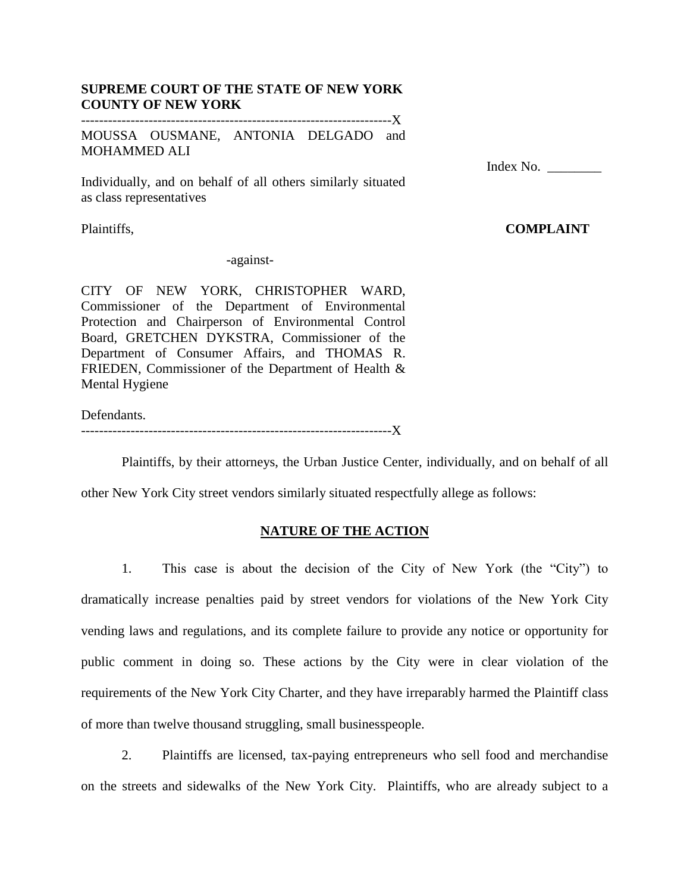### **SUPREME COURT OF THE STATE OF NEW YORK COUNTY OF NEW YORK** ---------------------------------------------------------------------X

MOUSSA OUSMANE, ANTONIA DELGADO and MOHAMMED ALI

Individually, and on behalf of all others similarly situated as class representatives

Plaintiffs,

-against-

CITY OF NEW YORK, CHRISTOPHER WARD, Commissioner of the Department of Environmental Protection and Chairperson of Environmental Control Board, GRETCHEN DYKSTRA, Commissioner of the Department of Consumer Affairs, and THOMAS R. FRIEDEN, Commissioner of the Department of Health & Mental Hygiene

Defendants.

---------------------------------------------------------------------X

Plaintiffs, by their attorneys, the Urban Justice Center, individually, and on behalf of all

other New York City street vendors similarly situated respectfully allege as follows:

## **NATURE OF THE ACTION**

1. This case is about the decision of the City of New York (the "City") to dramatically increase penalties paid by street vendors for violations of the New York City vending laws and regulations, and its complete failure to provide any notice or opportunity for public comment in doing so. These actions by the City were in clear violation of the requirements of the New York City Charter, and they have irreparably harmed the Plaintiff class of more than twelve thousand struggling, small businesspeople.

2. Plaintiffs are licensed, tax-paying entrepreneurs who sell food and merchandise on the streets and sidewalks of the New York City. Plaintiffs, who are already subject to a

Index No. \_\_\_\_\_\_\_\_

# **COMPLAINT**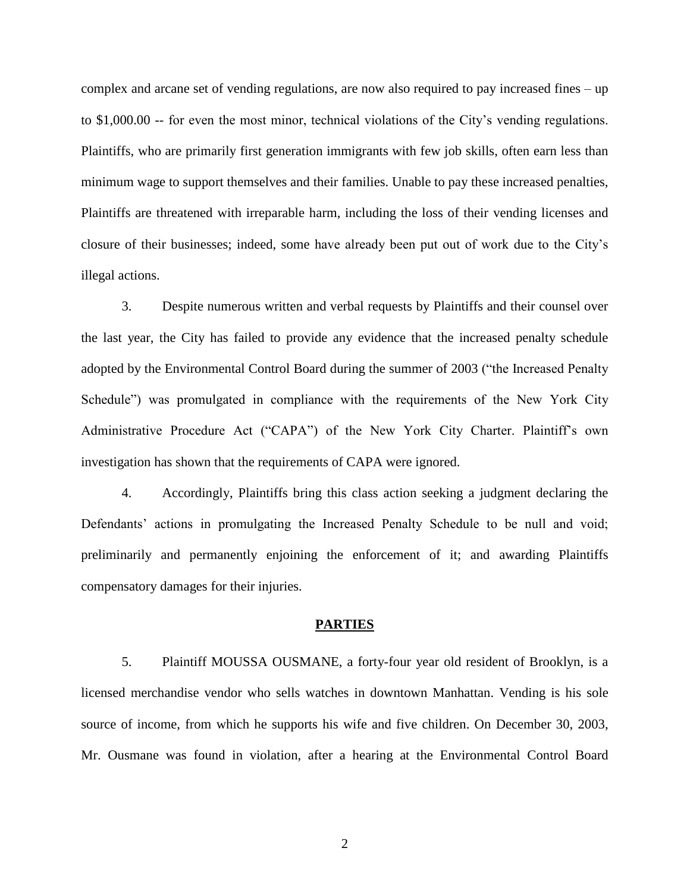complex and arcane set of vending regulations, are now also required to pay increased fines – up to  $$1,000.00$  -- for even the most minor, technical violations of the City's vending regulations. Plaintiffs, who are primarily first generation immigrants with few job skills, often earn less than minimum wage to support themselves and their families. Unable to pay these increased penalties, Plaintiffs are threatened with irreparable harm, including the loss of their vending licenses and closure of their businesses; indeed, some have already been put out of work due to the City's illegal actions.

3. Despite numerous written and verbal requests by Plaintiffs and their counsel over the last year, the City has failed to provide any evidence that the increased penalty schedule adopted by the Environmental Control Board during the summer of 2003 ("the Increased Penalty Schedule") was promulgated in compliance with the requirements of the New York City Administrative Procedure Act ("CAPA") of the New York City Charter. Plaintiff's own investigation has shown that the requirements of CAPA were ignored.

4. Accordingly, Plaintiffs bring this class action seeking a judgment declaring the Defendants' actions in promulgating the Increased Penalty Schedule to be null and void; preliminarily and permanently enjoining the enforcement of it; and awarding Plaintiffs compensatory damages for their injuries.

#### **PARTIES**

5. Plaintiff MOUSSA OUSMANE, a forty-four year old resident of Brooklyn, is a licensed merchandise vendor who sells watches in downtown Manhattan. Vending is his sole source of income, from which he supports his wife and five children. On December 30, 2003, Mr. Ousmane was found in violation, after a hearing at the Environmental Control Board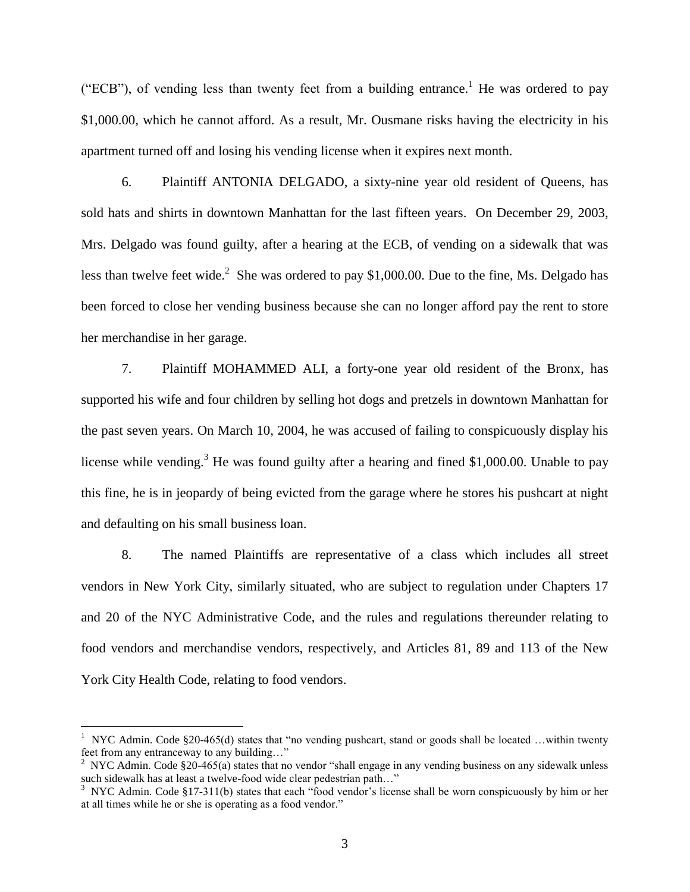("ECB"), of vending less than twenty feet from a building entrance.<sup>1</sup> He was ordered to pay \$1,000.00, which he cannot afford. As a result, Mr. Ousmane risks having the electricity in his apartment turned off and losing his vending license when it expires next month.

6. Plaintiff ANTONIA DELGADO, a sixty-nine year old resident of Queens, has sold hats and shirts in downtown Manhattan for the last fifteen years. On December 29, 2003, Mrs. Delgado was found guilty, after a hearing at the ECB, of vending on a sidewalk that was less than twelve feet wide.<sup>2</sup> She was ordered to pay \$1,000.00. Due to the fine, Ms. Delgado has been forced to close her vending business because she can no longer afford pay the rent to store her merchandise in her garage.

7. Plaintiff MOHAMMED ALI, a forty-one year old resident of the Bronx, has supported his wife and four children by selling hot dogs and pretzels in downtown Manhattan for the past seven years. On March 10, 2004, he was accused of failing to conspicuously display his license while vending.<sup>3</sup> He was found guilty after a hearing and fined \$1,000.00. Unable to pay this fine, he is in jeopardy of being evicted from the garage where he stores his pushcart at night and defaulting on his small business loan.

8. The named Plaintiffs are representative of a class which includes all street vendors in New York City, similarly situated, who are subject to regulation under Chapters 17 and 20 of the NYC Administrative Code, and the rules and regulations thereunder relating to food vendors and merchandise vendors, respectively, and Articles 81, 89 and 113 of the New York City Health Code, relating to food vendors.

<sup>&</sup>lt;sup>1</sup> NYC Admin. Code §20-465(d) states that "no vending pushcart, stand or goods shall be located …within twenty feet from any entranceway to any building…"  $\frac{2}{3}$  NYC Admin. Code §20-465(a) states that no vendor "shall engage in any vending business on any sidewalk unless

such sidewalk has at least a twelve-food wide clear pedestrian path…"<br><sup>3</sup> NYC Admin. Code §17-311(b) states that each "food vendor's license shall be worn conspicuously by him or her

at all times while he or she is operating as a food vendor."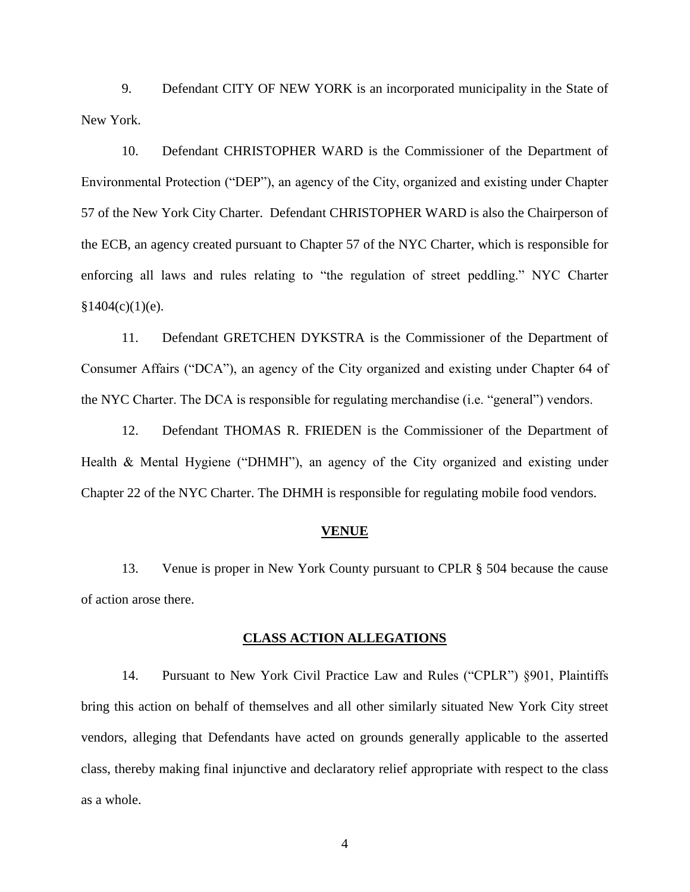9. Defendant CITY OF NEW YORK is an incorporated municipality in the State of New York.

10. Defendant CHRISTOPHER WARD is the Commissioner of the Department of Environmental Protection ("DEP"), an agency of the City, organized and existing under Chapter 57 of the New York City Charter. Defendant CHRISTOPHER WARD is also the Chairperson of the ECB, an agency created pursuant to Chapter 57 of the NYC Charter, which is responsible for enforcing all laws and rules relating to "the regulation of street peddling." NYC Charter  $§1404(c)(1)(e)$ .

11. Defendant GRETCHEN DYKSTRA is the Commissioner of the Department of Consumer Affairs ("DCA"), an agency of the City organized and existing under Chapter 64 of the NYC Charter. The DCA is responsible for regulating merchandise (i.e. "general") vendors.

12. Defendant THOMAS R. FRIEDEN is the Commissioner of the Department of Health  $&$  Mental Hygiene ("DHMH"), an agency of the City organized and existing under Chapter 22 of the NYC Charter. The DHMH is responsible for regulating mobile food vendors.

#### **VENUE**

13. Venue is proper in New York County pursuant to CPLR § 504 because the cause of action arose there.

### **CLASS ACTION ALLEGATIONS**

14. Pursuant to New York Civil Practice Law and Rules ("CPLR") §901, Plaintiffs bring this action on behalf of themselves and all other similarly situated New York City street vendors, alleging that Defendants have acted on grounds generally applicable to the asserted class, thereby making final injunctive and declaratory relief appropriate with respect to the class as a whole.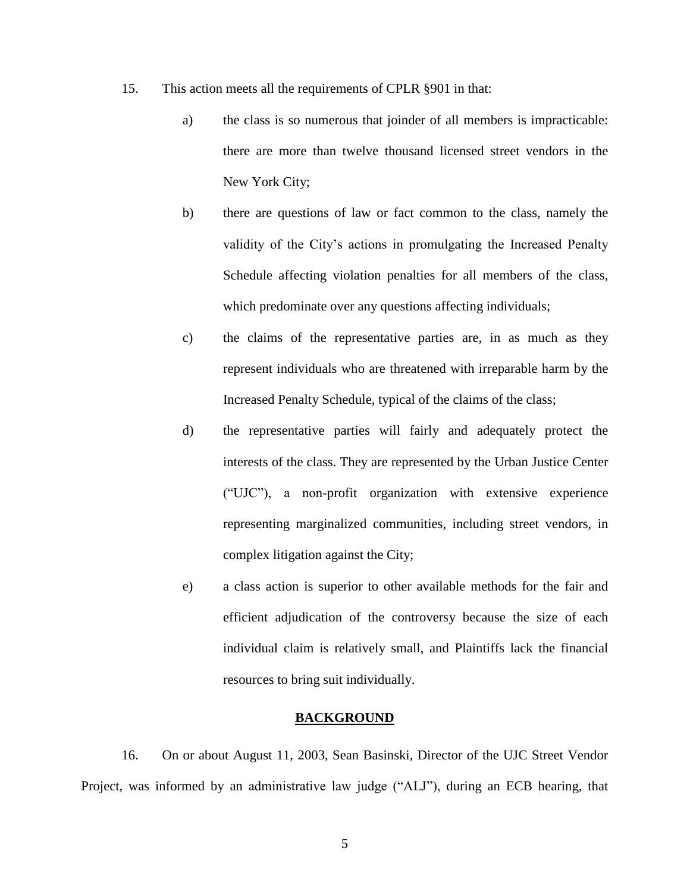- 15. This action meets all the requirements of CPLR §901 in that:
	- a) the class is so numerous that joinder of all members is impracticable: there are more than twelve thousand licensed street vendors in the New York City;
	- b) there are questions of law or fact common to the class, namely the validity of the City's actions in promulgating the Increased Penalty Schedule affecting violation penalties for all members of the class, which predominate over any questions affecting individuals;
	- c) the claims of the representative parties are, in as much as they represent individuals who are threatened with irreparable harm by the Increased Penalty Schedule, typical of the claims of the class;
	- d) the representative parties will fairly and adequately protect the interests of the class. They are represented by the Urban Justice Center ("UJC"), a non-profit organization with extensive experience representing marginalized communities, including street vendors, in complex litigation against the City;
	- e) a class action is superior to other available methods for the fair and efficient adjudication of the controversy because the size of each individual claim is relatively small, and Plaintiffs lack the financial resources to bring suit individually.

## **BACKGROUND**

16. On or about August 11, 2003, Sean Basinski, Director of the UJC Street Vendor Project, was informed by an administrative law judge ("ALJ"), during an ECB hearing, that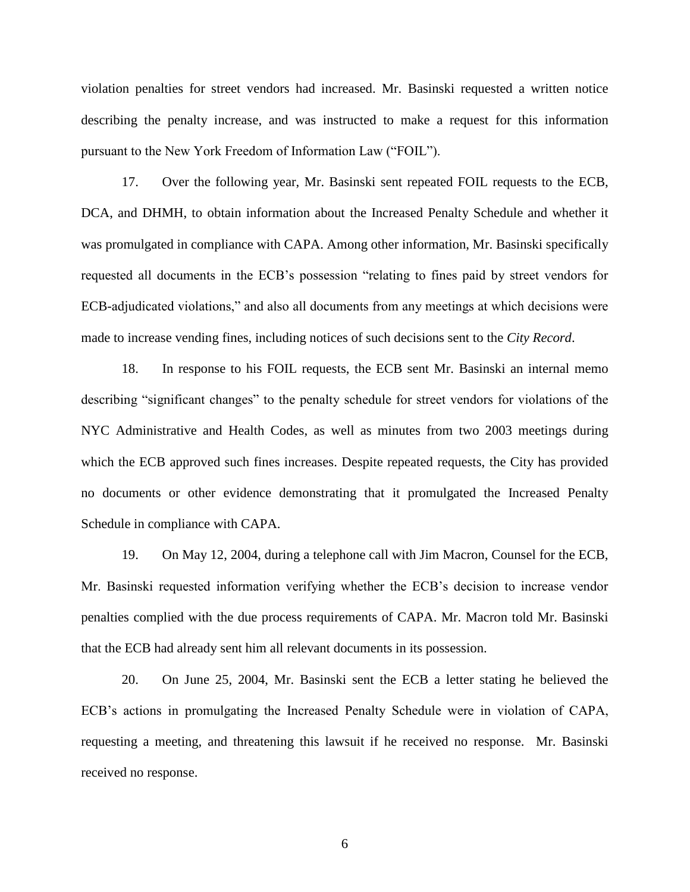violation penalties for street vendors had increased. Mr. Basinski requested a written notice describing the penalty increase, and was instructed to make a request for this information pursuant to the New York Freedom of Information Law ("FOIL").

17. Over the following year, Mr. Basinski sent repeated FOIL requests to the ECB, DCA, and DHMH, to obtain information about the Increased Penalty Schedule and whether it was promulgated in compliance with CAPA. Among other information, Mr. Basinski specifically requested all documents in the ECB's possession "relating to fines paid by street vendors for ECB-adjudicated violations," and also all documents from any meetings at which decisions were made to increase vending fines, including notices of such decisions sent to the *City Record*.

18. In response to his FOIL requests, the ECB sent Mr. Basinski an internal memo describing "significant changes" to the penalty schedule for street vendors for violations of the NYC Administrative and Health Codes, as well as minutes from two 2003 meetings during which the ECB approved such fines increases. Despite repeated requests, the City has provided no documents or other evidence demonstrating that it promulgated the Increased Penalty Schedule in compliance with CAPA.

19. On May 12, 2004, during a telephone call with Jim Macron, Counsel for the ECB, Mr. Basinski requested information verifying whether the ECB's decision to increase vendor penalties complied with the due process requirements of CAPA. Mr. Macron told Mr. Basinski that the ECB had already sent him all relevant documents in its possession.

20. On June 25, 2004, Mr. Basinski sent the ECB a letter stating he believed the ECB's actions in promulgating the Increased Penalty Schedule were in violation of CAPA, requesting a meeting, and threatening this lawsuit if he received no response. Mr. Basinski received no response.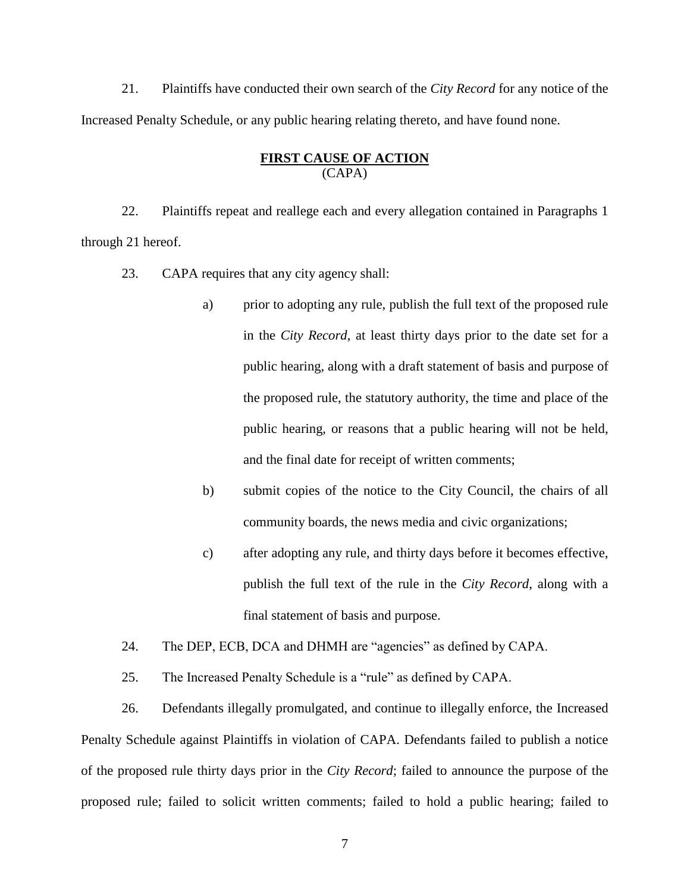21. Plaintiffs have conducted their own search of the *City Record* for any notice of the Increased Penalty Schedule, or any public hearing relating thereto, and have found none.

# **FIRST CAUSE OF ACTION** (CAPA)

22. Plaintiffs repeat and reallege each and every allegation contained in Paragraphs 1 through 21 hereof.

23. CAPA requires that any city agency shall:

- a) prior to adopting any rule, publish the full text of the proposed rule in the *City Record*, at least thirty days prior to the date set for a public hearing, along with a draft statement of basis and purpose of the proposed rule, the statutory authority, the time and place of the public hearing, or reasons that a public hearing will not be held, and the final date for receipt of written comments;
- b) submit copies of the notice to the City Council, the chairs of all community boards, the news media and civic organizations;
- c) after adopting any rule, and thirty days before it becomes effective, publish the full text of the rule in the *City Record*, along with a final statement of basis and purpose.

24. The DEP, ECB, DCA and DHMH are "agencies" as defined by CAPA.

25. The Increased Penalty Schedule is a "rule" as defined by CAPA.

26. Defendants illegally promulgated, and continue to illegally enforce, the Increased Penalty Schedule against Plaintiffs in violation of CAPA. Defendants failed to publish a notice of the proposed rule thirty days prior in the *City Record*; failed to announce the purpose of the proposed rule; failed to solicit written comments; failed to hold a public hearing; failed to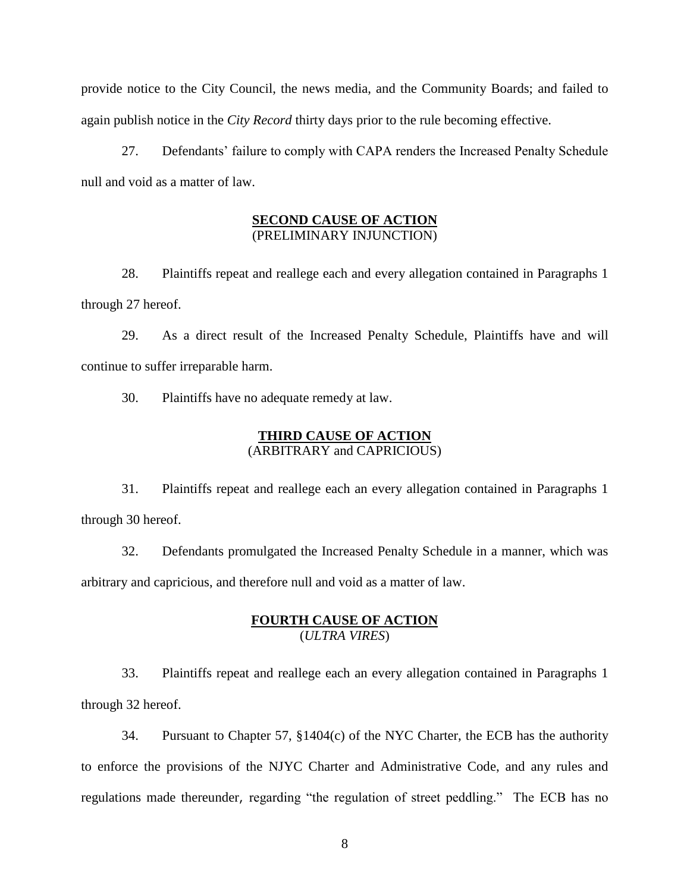provide notice to the City Council, the news media, and the Community Boards; and failed to again publish notice in the *City Record* thirty days prior to the rule becoming effective.

27. Defendants' failure to comply with CAPA renders the Increased Penalty Schedule null and void as a matter of law.

## **SECOND CAUSE OF ACTION** (PRELIMINARY INJUNCTION)

28. Plaintiffs repeat and reallege each and every allegation contained in Paragraphs 1 through 27 hereof.

29. As a direct result of the Increased Penalty Schedule, Plaintiffs have and will continue to suffer irreparable harm.

30. Plaintiffs have no adequate remedy at law.

# **THIRD CAUSE OF ACTION** (ARBITRARY and CAPRICIOUS)

31. Plaintiffs repeat and reallege each an every allegation contained in Paragraphs 1 through 30 hereof.

32. Defendants promulgated the Increased Penalty Schedule in a manner, which was arbitrary and capricious, and therefore null and void as a matter of law.

# **FOURTH CAUSE OF ACTION** (*ULTRA VIRES*)

33. Plaintiffs repeat and reallege each an every allegation contained in Paragraphs 1 through 32 hereof.

34. Pursuant to Chapter 57, §1404(c) of the NYC Charter, the ECB has the authority to enforce the provisions of the NJYC Charter and Administrative Code, and any rules and regulations made thereunder, regarding "the regulation of street peddling." The ECB has no